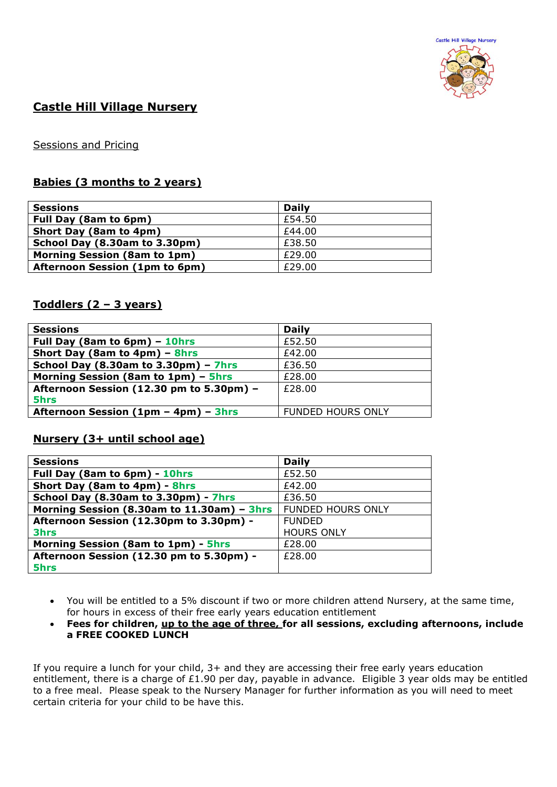

# **Castle Hill Village Nursery**

### Sessions and Pricing

## **Babies (3 months to 2 years)**

| <b>Sessions</b>                     | <b>Daily</b> |
|-------------------------------------|--------------|
| Full Day (8am to 6pm)               | £54.50       |
| Short Day (8am to 4pm)              | £44.00       |
| School Day (8.30am to 3.30pm)       | £38.50       |
| <b>Morning Session (8am to 1pm)</b> | £29.00       |
| Afternoon Session (1pm to 6pm)      | £29.00       |

### **Toddlers (2 – 3 years)**

| <b>Sessions</b>                                 | <b>Daily</b>             |
|-------------------------------------------------|--------------------------|
| Full Day (8am to 6pm) - 10hrs                   | £52.50                   |
| Short Day (8am to 4pm) - 8hrs                   | £42.00                   |
| School Day (8.30am to $3.30 \text{pm}$ ) - 7hrs | £36.50                   |
| Morning Session (8am to 1pm) - 5hrs             | £28.00                   |
| Afternoon Session (12.30 pm to 5.30pm) -        | £28.00                   |
| 5hrs                                            |                          |
| Afternoon Session (1pm - 4pm) - 3hrs            | <b>FUNDED HOURS ONLY</b> |
|                                                 |                          |

#### **Nursery (3+ until school age)**

| <b>Sessions</b>                            | <b>Daily</b>             |
|--------------------------------------------|--------------------------|
| Full Day (8am to 6pm) - 10hrs              | £52.50                   |
| Short Day (8am to 4pm) - 8hrs              | £42.00                   |
| School Day (8.30am to 3.30pm) - 7hrs       | £36.50                   |
| Morning Session (8.30am to 11.30am) - 3hrs | <b>FUNDED HOURS ONLY</b> |
| Afternoon Session (12.30pm to 3.30pm) -    | <b>FUNDED</b>            |
| <b>3hrs</b>                                | <b>HOURS ONLY</b>        |
| Morning Session (8am to 1pm) - 5hrs        | £28.00                   |
| Afternoon Session (12.30 pm to 5.30pm) -   | £28.00                   |
| 5hrs                                       |                          |

- You will be entitled to a 5% discount if two or more children attend Nursery, at the same time, for hours in excess of their free early years education entitlement
- **Fees for children, up to the age of three, for all sessions, excluding afternoons, include a FREE COOKED LUNCH**

If you require a lunch for your child, 3+ and they are accessing their free early years education entitlement, there is a charge of £1.90 per day, payable in advance. Eligible 3 year olds may be entitled to a free meal. Please speak to the Nursery Manager for further information as you will need to meet certain criteria for your child to be have this.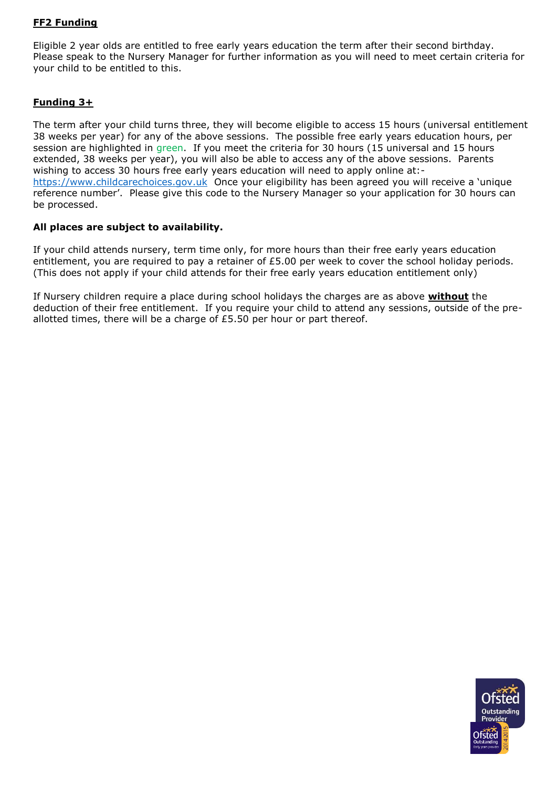## **FF2 Funding**

Eligible 2 year olds are entitled to free early years education the term after their second birthday. Please speak to the Nursery Manager for further information as you will need to meet certain criteria for your child to be entitled to this.

#### **Funding 3+**

The term after your child turns three, they will become eligible to access 15 hours (universal entitlement 38 weeks per year) for any of the above sessions. The possible free early years education hours, per session are highlighted in green. If you meet the criteria for 30 hours (15 universal and 15 hours extended, 38 weeks per year), you will also be able to access any of the above sessions. Parents wishing to access 30 hours free early years education will need to apply online at: [https://www.childcarechoices.gov.uk](https://www.childcarechoices.gov.uk/) Once your eligibility has been agreed you will receive a 'unique reference number'. Please give this code to the Nursery Manager so your application for 30 hours can be processed.

#### **All places are subject to availability.**

If your child attends nursery, term time only, for more hours than their free early years education entitlement, you are required to pay a retainer of £5.00 per week to cover the school holiday periods. (This does not apply if your child attends for their free early years education entitlement only)

If Nursery children require a place during school holidays the charges are as above **without** the deduction of their free entitlement. If you require your child to attend any sessions, outside of the preallotted times, there will be a charge of £5.50 per hour or part thereof.